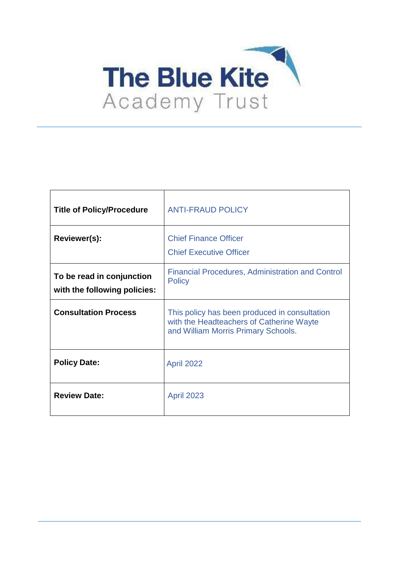

| <b>Title of Policy/Procedure</b>                          | <b>ANTI-FRAUD POLICY</b>                                                                                                         |
|-----------------------------------------------------------|----------------------------------------------------------------------------------------------------------------------------------|
| Reviewer(s):                                              | <b>Chief Finance Officer</b><br><b>Chief Executive Officer</b>                                                                   |
| To be read in conjunction<br>with the following policies: | <b>Financial Procedures, Administration and Control</b><br><b>Policy</b>                                                         |
| <b>Consultation Process</b>                               | This policy has been produced in consultation<br>with the Headteachers of Catherine Wayte<br>and William Morris Primary Schools. |
| <b>Policy Date:</b>                                       | <b>April 2022</b>                                                                                                                |
| <b>Review Date:</b>                                       | <b>April 2023</b>                                                                                                                |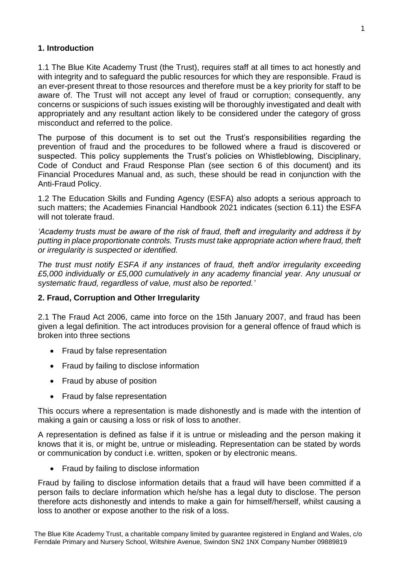### **1. Introduction**

1.1 The Blue Kite Academy Trust (the Trust), requires staff at all times to act honestly and with integrity and to safeguard the public resources for which they are responsible. Fraud is an ever-present threat to those resources and therefore must be a key priority for staff to be aware of. The Trust will not accept any level of fraud or corruption; consequently, any concerns or suspicions of such issues existing will be thoroughly investigated and dealt with appropriately and any resultant action likely to be considered under the category of gross misconduct and referred to the police.

The purpose of this document is to set out the Trust's responsibilities regarding the prevention of fraud and the procedures to be followed where a fraud is discovered or suspected. This policy supplements the Trust's policies on Whistleblowing, Disciplinary, Code of Conduct and Fraud Response Plan (see section 6 of this document) and its Financial Procedures Manual and, as such, these should be read in conjunction with the Anti-Fraud Policy.

1.2 The Education Skills and Funding Agency (ESFA) also adopts a serious approach to such matters; the Academies Financial Handbook 2021 indicates (section 6.11) the ESFA will not tolerate fraud.

*'Academy trusts must be aware of the risk of fraud, theft and irregularity and address it by putting in place proportionate controls. Trusts must take appropriate action where fraud, theft or irregularity is suspected or identified.*

*The trust must notify ESFA if any instances of fraud, theft and/or irregularity exceeding £5,000 individually or £5,000 cumulatively in any academy financial year. Any unusual or systematic fraud, regardless of value, must also be reported.'*

#### **2. Fraud, Corruption and Other Irregularity**

2.1 The Fraud Act 2006, came into force on the 15th January 2007, and fraud has been given a legal definition. The act introduces provision for a general offence of fraud which is broken into three sections

- Fraud by false representation
- Fraud by failing to disclose information
- Fraud by abuse of position
- Fraud by false representation

This occurs where a representation is made dishonestly and is made with the intention of making a gain or causing a loss or risk of loss to another.

A representation is defined as false if it is untrue or misleading and the person making it knows that it is, or might be, untrue or misleading. Representation can be stated by words or communication by conduct i.e. written, spoken or by electronic means.

• Fraud by failing to disclose information

Fraud by failing to disclose information details that a fraud will have been committed if a person fails to declare information which he/she has a legal duty to disclose. The person therefore acts dishonestly and intends to make a gain for himself/herself, whilst causing a loss to another or expose another to the risk of a loss.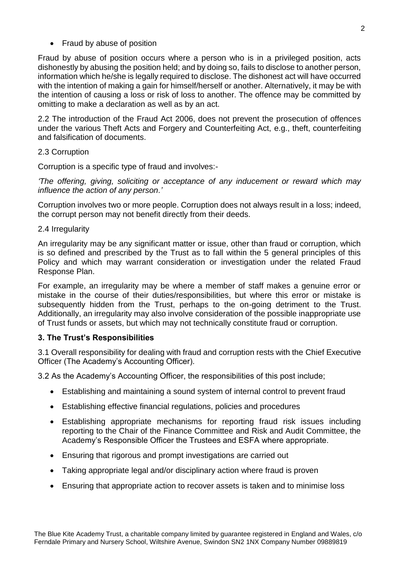• Fraud by abuse of position

Fraud by abuse of position occurs where a person who is in a privileged position, acts dishonestly by abusing the position held; and by doing so, fails to disclose to another person, information which he/she is legally required to disclose. The dishonest act will have occurred with the intention of making a gain for himself/herself or another. Alternatively, it may be with the intention of causing a loss or risk of loss to another. The offence may be committed by omitting to make a declaration as well as by an act.

2.2 The introduction of the Fraud Act 2006, does not prevent the prosecution of offences under the various Theft Acts and Forgery and Counterfeiting Act, e.g., theft, counterfeiting and falsification of documents.

#### 2.3 Corruption

Corruption is a specific type of fraud and involves:-

*'The offering, giving, soliciting or acceptance of any inducement or reward which may influence the action of any person.'*

Corruption involves two or more people. Corruption does not always result in a loss; indeed, the corrupt person may not benefit directly from their deeds.

#### 2.4 Irregularity

An irregularity may be any significant matter or issue, other than fraud or corruption, which is so defined and prescribed by the Trust as to fall within the 5 general principles of this Policy and which may warrant consideration or investigation under the related Fraud Response Plan.

For example, an irregularity may be where a member of staff makes a genuine error or mistake in the course of their duties/responsibilities, but where this error or mistake is subsequently hidden from the Trust, perhaps to the on-going detriment to the Trust. Additionally, an irregularity may also involve consideration of the possible inappropriate use of Trust funds or assets, but which may not technically constitute fraud or corruption.

# **3. The Trust's Responsibilities**

3.1 Overall responsibility for dealing with fraud and corruption rests with the Chief Executive Officer (The Academy's Accounting Officer).

3.2 As the Academy's Accounting Officer, the responsibilities of this post include;

- Establishing and maintaining a sound system of internal control to prevent fraud
- Establishing effective financial regulations, policies and procedures
- Establishing appropriate mechanisms for reporting fraud risk issues including reporting to the Chair of the Finance Committee and Risk and Audit Committee, the Academy's Responsible Officer the Trustees and ESFA where appropriate.
- Ensuring that rigorous and prompt investigations are carried out
- Taking appropriate legal and/or disciplinary action where fraud is proven
- Ensuring that appropriate action to recover assets is taken and to minimise loss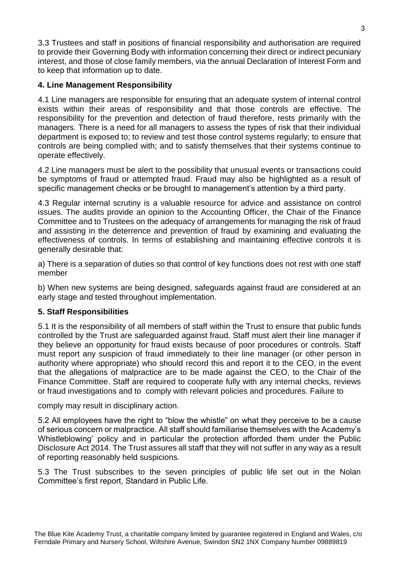3.3 Trustees and staff in positions of financial responsibility and authorisation are required to provide their Governing Body with information concerning their direct or indirect pecuniary interest, and those of close family members, via the annual Declaration of Interest Form and to keep that information up to date.

# **4. Line Management Responsibility**

4.1 Line managers are responsible for ensuring that an adequate system of internal control exists within their areas of responsibility and that those controls are effective. The responsibility for the prevention and detection of fraud therefore, rests primarily with the managers. There is a need for all managers to assess the types of risk that their individual department is exposed to; to review and test those control systems regularly; to ensure that controls are being complied with; and to satisfy themselves that their systems continue to operate effectively.

4.2 Line managers must be alert to the possibility that unusual events or transactions could be symptoms of fraud or attempted fraud. Fraud may also be highlighted as a result of specific management checks or be brought to management's attention by a third party.

4.3 Regular internal scrutiny is a valuable resource for advice and assistance on control issues. The audits provide an opinion to the Accounting Officer, the Chair of the Finance Committee and to Trustees on the adequacy of arrangements for managing the risk of fraud and assisting in the deterrence and prevention of fraud by examining and evaluating the effectiveness of controls. In terms of establishing and maintaining effective controls it is generally desirable that:

a) There is a separation of duties so that control of key functions does not rest with one staff member

b) When new systems are being designed, safeguards against fraud are considered at an early stage and tested throughout implementation.

# **5. Staff Responsibilities**

5.1 It is the responsibility of all members of staff within the Trust to ensure that public funds controlled by the Trust are safeguarded against fraud. Staff must alert their line manager if they believe an opportunity for fraud exists because of poor procedures or controls. Staff must report any suspicion of fraud immediately to their line manager (or other person in authority where appropriate) who should record this and report it to the CEO, in the event that the allegations of malpractice are to be made against the CEO, to the Chair of the Finance Committee. Staff are required to cooperate fully with any internal checks, reviews or fraud investigations and to comply with relevant policies and procedures. Failure to

comply may result in disciplinary action.

5.2 All employees have the right to "blow the whistle" on what they perceive to be a cause of serious concern or malpractice. All staff should familiarise themselves with the Academy's Whistleblowing' policy and in particular the protection afforded them under the Public Disclosure Act 2014. The Trust assures all staff that they will not suffer in any way as a result of reporting reasonably held suspicions.

5.3 The Trust subscribes to the seven principles of public life set out in the Nolan Committee's first report, Standard in Public Life.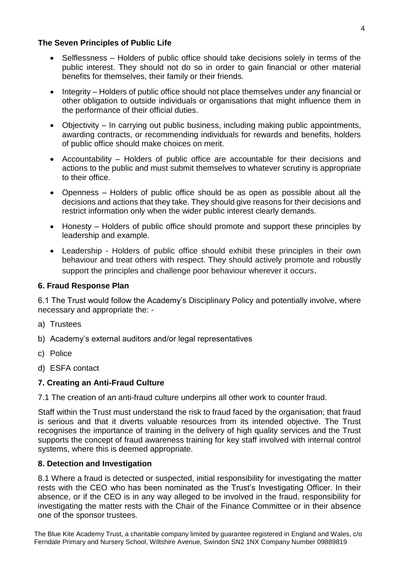### **The Seven Principles of Public Life**

- Selflessness Holders of public office should take decisions solely in terms of the public interest. They should not do so in order to gain financial or other material benefits for themselves, their family or their friends.
- Integrity Holders of public office should not place themselves under any financial or other obligation to outside individuals or organisations that might influence them in the performance of their official duties.
- Objectivity In carrying out public business, including making public appointments, awarding contracts, or recommending individuals for rewards and benefits, holders of public office should make choices on merit.
- Accountability Holders of public office are accountable for their decisions and actions to the public and must submit themselves to whatever scrutiny is appropriate to their office.
- Openness Holders of public office should be as open as possible about all the decisions and actions that they take. They should give reasons for their decisions and restrict information only when the wider public interest clearly demands.
- Honesty Holders of public office should promote and support these principles by leadership and example.
- Leadership Holders of public office should exhibit these principles in their own behaviour and treat others with respect. They should actively promote and robustly support the principles and challenge poor behaviour wherever it occurs.

# **6. Fraud Response Plan**

6.1 The Trust would follow the Academy's Disciplinary Policy and potentially involve, where necessary and appropriate the: -

- a) Trustees
- b) Academy's external auditors and/or legal representatives
- c) Police
- d) ESFA contact

# **7. Creating an Anti-Fraud Culture**

7.1 The creation of an anti-fraud culture underpins all other work to counter fraud.

Staff within the Trust must understand the risk to fraud faced by the organisation; that fraud is serious and that it diverts valuable resources from its intended objective. The Trust recognises the importance of training in the delivery of high quality services and the Trust supports the concept of fraud awareness training for key staff involved with internal control systems, where this is deemed appropriate.

# **8. Detection and Investigation**

8.1 Where a fraud is detected or suspected, initial responsibility for investigating the matter rests with the CEO who has been nominated as the Trust's Investigating Officer. In their absence, or if the CEO is in any way alleged to be involved in the fraud, responsibility for investigating the matter rests with the Chair of the Finance Committee or in their absence one of the sponsor trustees.